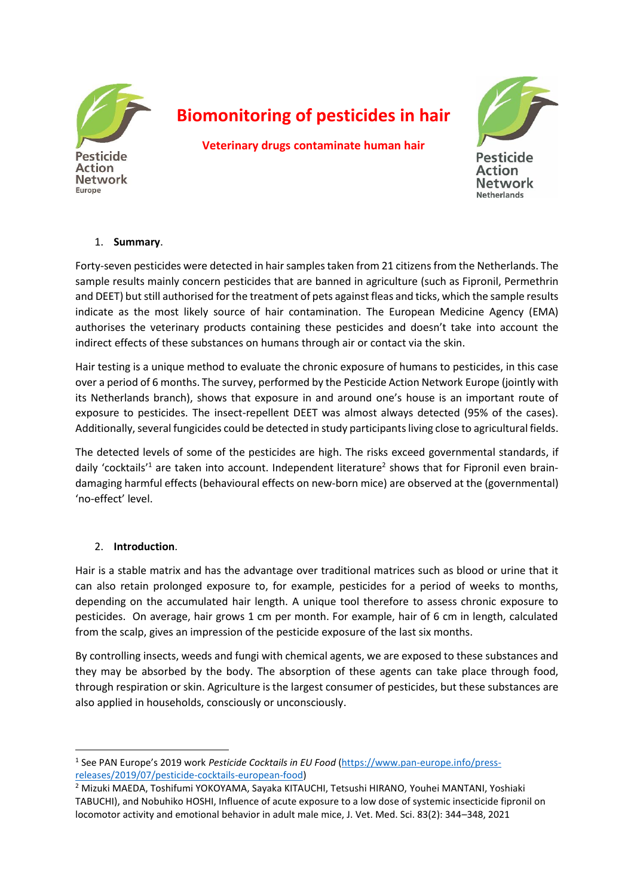

**Network** 

Europe

# **Biomonitoring of pesticides in hair**

**Veterinary drugs contaminate human hair**



**Pesticide** Action **Network Netherlands** 

#### 1. **Summary**.

Forty-seven pesticides were detected in hair samples taken from 21 citizens from the Netherlands. The sample results mainly concern pesticides that are banned in agriculture (such as Fipronil, Permethrin and DEET) but still authorised for the treatment of pets against fleas and ticks, which the sample results indicate as the most likely source of hair contamination. The European Medicine Agency (EMA) authorises the veterinary products containing these pesticides and doesn't take into account the indirect effects of these substances on humans through air or contact via the skin.

Hair testing is a unique method to evaluate the chronic exposure of humans to pesticides, in this case over a period of 6 months. The survey, performed by the Pesticide Action Network Europe (jointly with its Netherlands branch), shows that exposure in and around one's house is an important route of exposure to pesticides. The insect-repellent DEET was almost always detected (95% of the cases). Additionally, several fungicides could be detected in study participants living close to agricultural fields.

The detected levels of some of the pesticides are high. The risks exceed governmental standards, if daily 'cocktails'<sup>1</sup> are taken into account. Independent literature<sup>2</sup> shows that for Fipronil even braindamaging harmful effects (behavioural effects on new-born mice) are observed at the (governmental) 'no-effect' level.

## 2. **Introduction**.

Hair is a stable matrix and has the advantage over traditional matrices such as blood or urine that it can also retain prolonged exposure to, for example, pesticides for a period of weeks to months, depending on the accumulated hair length. A unique tool therefore to assess chronic exposure to pesticides. On average, hair grows 1 cm per month. For example, hair of 6 cm in length, calculated from the scalp, gives an impression of the pesticide exposure of the last six months.

By controlling insects, weeds and fungi with chemical agents, we are exposed to these substances and they may be absorbed by the body. The absorption of these agents can take place through food, through respiration or skin. Agriculture is the largest consumer of pesticides, but these substances are also applied in households, consciously or unconsciously.

<sup>&</sup>lt;sup>1</sup> See PAN Europe's 2019 work *Pesticide Cocktails in EU Food* [\(https://www.pan-europe.info/press](https://www.pan-europe.info/press-releases/2019/07/pesticide-cocktails-european-food)[releases/2019/07/pesticide-cocktails-european-food\)](https://www.pan-europe.info/press-releases/2019/07/pesticide-cocktails-european-food)

<sup>2</sup> Mizuki MAEDA, Toshifumi YOKOYAMA, Sayaka KITAUCHI, Tetsushi HIRANO, Youhei MANTANI, Yoshiaki TABUCHI), and Nobuhiko HOSHI, Influence of acute exposure to a low dose of systemic insecticide fipronil on locomotor activity and emotional behavior in adult male mice, J. Vet. Med. Sci. 83(2): 344–348, 2021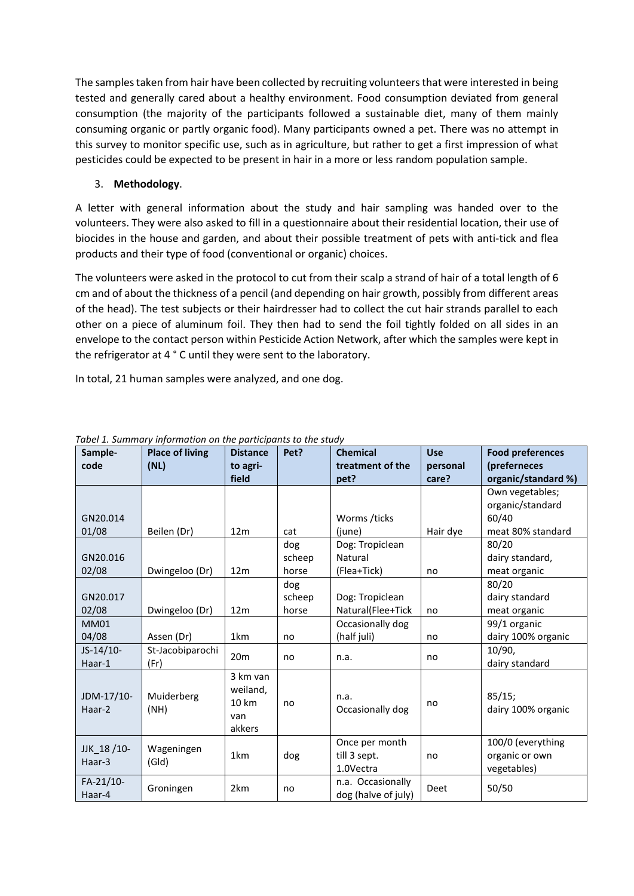The samples taken from hair have been collected by recruiting volunteers that were interested in being tested and generally cared about a healthy environment. Food consumption deviated from general consumption (the majority of the participants followed a sustainable diet, many of them mainly consuming organic or partly organic food). Many participants owned a pet. There was no attempt in this survey to monitor specific use, such as in agriculture, but rather to get a first impression of what pesticides could be expected to be present in hair in a more or less random population sample.

## 3. **Methodology**.

A letter with general information about the study and hair sampling was handed over to the volunteers. They were also asked to fill in a questionnaire about their residential location, their use of biocides in the house and garden, and about their possible treatment of pets with anti-tick and flea products and their type of food (conventional or organic) choices.

The volunteers were asked in the protocol to cut from their scalp a strand of hair of a total length of 6 cm and of about the thickness of a pencil (and depending on hair growth, possibly from different areas of the head). The test subjects or their hairdresser had to collect the cut hair strands parallel to each other on a piece of aluminum foil. They then had to send the foil tightly folded on all sides in an envelope to the contact person within Pesticide Action Network, after which the samples were kept in the refrigerator at 4 ° C until they were sent to the laboratory.

In total, 21 human samples were analyzed, and one dog.

| Sample-<br>code      | <b>Place of living</b> | <b>Distance</b>                                | Pet?   | <b>Chemical</b><br>treatment of the         | <b>Use</b>        | <b>Food preferences</b>                            |
|----------------------|------------------------|------------------------------------------------|--------|---------------------------------------------|-------------------|----------------------------------------------------|
|                      | (NL)                   | to agri-<br>field                              |        | pet?                                        | personal<br>care? | (preferneces<br>organic/standard %)                |
|                      |                        |                                                |        |                                             |                   | Own vegetables;                                    |
|                      |                        |                                                |        |                                             |                   | organic/standard                                   |
| GN20.014             |                        |                                                |        | Worms /ticks                                |                   | 60/40                                              |
| 01/08                | Beilen (Dr)            | 12 <sub>m</sub>                                | cat    | (june)                                      | Hair dye          | meat 80% standard                                  |
|                      |                        |                                                | dog    | Dog: Tropiclean                             |                   | 80/20                                              |
| GN20.016             |                        |                                                | scheep | Natural                                     |                   | dairy standard,                                    |
| 02/08                | Dwingeloo (Dr)         | 12 <sub>m</sub>                                | horse  | (Flea+Tick)                                 | no                | meat organic                                       |
|                      |                        |                                                | dog    |                                             |                   | 80/20                                              |
| GN20.017             |                        |                                                | scheep | Dog: Tropiclean                             |                   | dairy standard                                     |
| 02/08                | Dwingeloo (Dr)         | 12 <sub>m</sub>                                | horse  | Natural(Flee+Tick                           | no                | meat organic                                       |
| <b>MM01</b>          |                        |                                                |        | Occasionally dog                            |                   | 99/1 organic                                       |
| 04/08                | Assen (Dr)             | 1km                                            | no     | (half juli)                                 | no                | dairy 100% organic                                 |
| $JS-14/10-$          | St-Jacobiparochi       | 20 <sub>m</sub>                                |        |                                             |                   | 10/90,                                             |
| Haar-1               | (Fr)                   |                                                | no     | n.a.                                        | no                | dairy standard                                     |
| JDM-17/10-<br>Haar-2 | Muiderberg<br>(NH)     | 3 km van<br>weiland,<br>10 km<br>van<br>akkers | no     | n.a.<br>Occasionally dog                    | no                | 85/15;<br>dairy 100% organic                       |
| JJK 18/10-<br>Haar-3 | Wageningen<br>(Gld)    | 1km                                            | dog    | Once per month<br>till 3 sept.<br>1.0Vectra | no                | 100/0 (everything<br>organic or own<br>vegetables) |
| FA-21/10-<br>Haar-4  | Groningen              | 2km                                            | no     | n.a. Occasionally<br>dog (halve of july)    | Deet              | 50/50                                              |

*Tabel 1. Summary information on the participants to the study*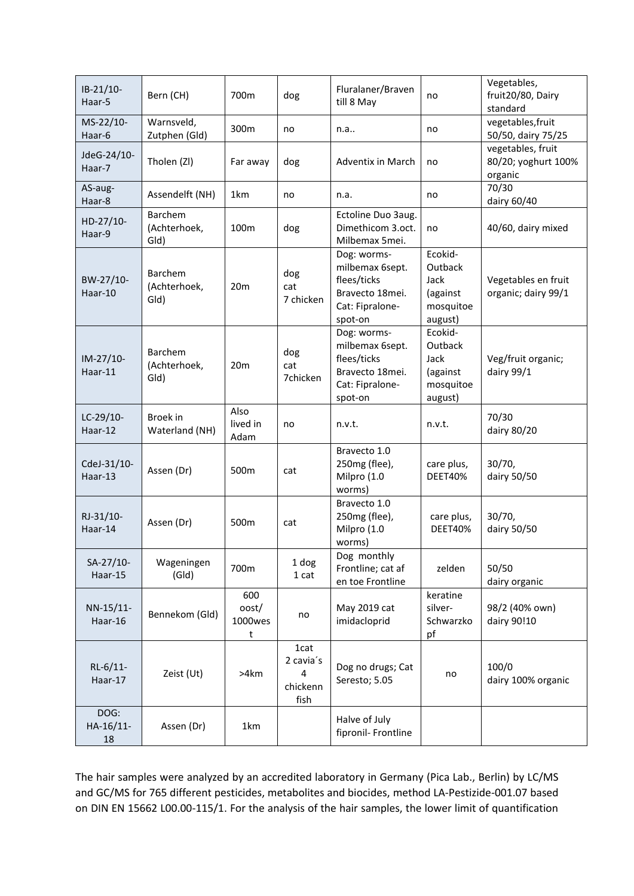| $IB-21/10-$<br>Haar-5  | Bern (CH)                       | 700m                         | dog                                        | Fluralaner/Braven<br>till 8 May                                                                | no                                                             | Vegetables,<br>fruit20/80, Dairy<br>standard        |
|------------------------|---------------------------------|------------------------------|--------------------------------------------|------------------------------------------------------------------------------------------------|----------------------------------------------------------------|-----------------------------------------------------|
| MS-22/10-<br>Haar-6    | Warnsveld,<br>Zutphen (Gld)     | 300m                         | no                                         | n.a                                                                                            | no                                                             | vegetables, fruit<br>50/50, dairy 75/25             |
| JdeG-24/10-<br>Haar-7  | Tholen (ZI)                     | Far away                     | dog                                        | Adventix in March                                                                              | no                                                             | vegetables, fruit<br>80/20; yoghurt 100%<br>organic |
| AS-aug-<br>Haar-8      | Assendelft (NH)                 | 1km                          | no                                         | n.a.                                                                                           | no                                                             | 70/30<br>dairy 60/40                                |
| HD-27/10-<br>Haar-9    | Barchem<br>(Achterhoek,<br>Gld) | 100m                         | dog                                        | Ectoline Duo 3aug.<br>Dimethicom 3.oct.<br>Milbemax 5mei.                                      | no                                                             | 40/60, dairy mixed                                  |
| BW-27/10-<br>Haar-10   | Barchem<br>(Achterhoek,<br>Gld) | 20 <sub>m</sub>              | dog<br>cat<br>7 chicken                    | Dog: worms-<br>milbemax 6sept.<br>flees/ticks<br>Bravecto 18mei.<br>Cat: Fipralone-<br>spot-on | Ecokid-<br>Outback<br>Jack<br>(against<br>mosquitoe<br>august) | Vegetables en fruit<br>organic; dairy 99/1          |
| IM-27/10-<br>Haar-11   | Barchem<br>(Achterhoek,<br>Gld) | 20 <sub>m</sub>              | dog<br>cat<br>7chicken                     | Dog: worms-<br>milbemax 6sept.<br>flees/ticks<br>Bravecto 18mei.<br>Cat: Fipralone-<br>spot-on | Ecokid-<br>Outback<br>Jack<br>(against<br>mosquitoe<br>august) | Veg/fruit organic;<br>dairy 99/1                    |
| LC-29/10-<br>Haar-12   | Broek in<br>Waterland (NH)      | Also<br>lived in<br>Adam     | no                                         | n.v.t.                                                                                         | n.v.t.                                                         | 70/30<br>dairy 80/20                                |
| CdeJ-31/10-<br>Haar-13 | Assen (Dr)                      | 500m                         | cat                                        | Bravecto 1.0<br>250mg (flee),<br>Milpro (1.0<br>worms)                                         | care plus,<br><b>DEET40%</b>                                   | 30/70,<br>dairy 50/50                               |
| RJ-31/10-<br>Haar-14   | Assen (Dr)                      | 500m                         | cat                                        | Bravecto 1.0<br>250mg (flee),<br>Milpro (1.0<br>worms)                                         | care plus,<br><b>DEET40%</b>                                   | 30/70,<br>dairy 50/50                               |
| SA-27/10-<br>Haar-15   | Wageningen<br>(GId)             | 700m                         | 1 dog<br>1 cat                             | Dog monthly<br>Frontline; cat af<br>en toe Frontline                                           | zelden                                                         | 50/50<br>dairy organic                              |
| NN-15/11-<br>Haar-16   | Bennekom (Gld)                  | 600<br>oost/<br>1000wes<br>t | no                                         | May 2019 cat<br>imidacloprid                                                                   | keratine<br>silver-<br>Schwarzko<br>pf                         | 98/2 (40% own)<br>dairy 90!10                       |
| RL-6/11-<br>Haar-17    | Zeist (Ut)                      | >4km                         | 1cat<br>2 cavia's<br>4<br>chickenn<br>fish | Dog no drugs; Cat<br>Seresto; 5.05                                                             | no                                                             | 100/0<br>dairy 100% organic                         |
| DOG:<br>HA-16/11-      | Assen (Dr)                      | 1km                          |                                            | Halve of July                                                                                  |                                                                |                                                     |

The hair samples were analyzed by an accredited laboratory in Germany (Pica Lab., Berlin) by LC/MS and GC/MS for 765 different pesticides, metabolites and biocides, method LA-Pestizide-001.07 based on DIN EN 15662 L00.00-115/1. For the analysis of the hair samples, the lower limit of quantification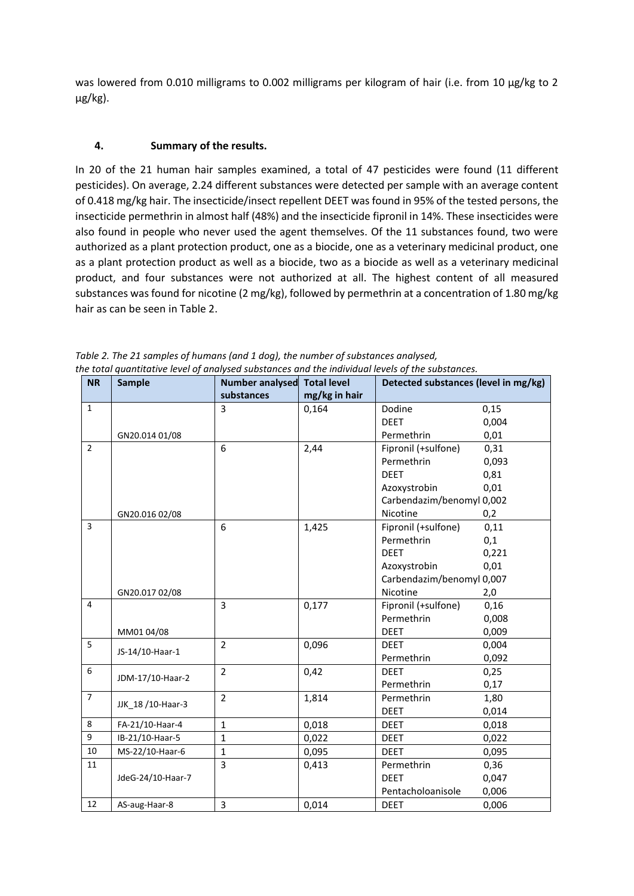was lowered from 0.010 milligrams to 0.002 milligrams per kilogram of hair (i.e. from 10 μg/kg to 2 μg/kg).

## **4. Summary of the results.**

In 20 of the 21 human hair samples examined, a total of 47 pesticides were found (11 different pesticides). On average, 2.24 different substances were detected per sample with an average content of 0.418 mg/kg hair. The insecticide/insect repellent DEET was found in 95% of the tested persons, the insecticide permethrin in almost half (48%) and the insecticide fipronil in 14%. These insecticides were also found in people who never used the agent themselves. Of the 11 substances found, two were authorized as a plant protection product, one as a biocide, one as a veterinary medicinal product, one as a plant protection product as well as a biocide, two as a biocide as well as a veterinary medicinal product, and four substances were not authorized at all. The highest content of all measured substances was found for nicotine (2 mg/kg), followed by permethrin at a concentration of 1.80 mg/kg hair as can be seen in Table 2.

| <b>NR</b>      | <b>Sample</b>     | Number analysed Total level |               | Detected substances (level in mg/kg) |       |
|----------------|-------------------|-----------------------------|---------------|--------------------------------------|-------|
|                |                   | substances                  | mg/kg in hair |                                      |       |
| $\mathbf{1}$   |                   | 3                           | 0,164         | Dodine                               | 0,15  |
|                |                   |                             |               | <b>DEET</b>                          | 0,004 |
|                | GN20.014 01/08    |                             |               | Permethrin                           | 0,01  |
| $\overline{2}$ |                   | 6                           | 2,44          | Fipronil (+sulfone)                  | 0,31  |
|                |                   |                             |               | Permethrin                           | 0,093 |
|                |                   |                             |               | <b>DEET</b>                          | 0,81  |
|                |                   |                             |               | Azoxystrobin                         | 0,01  |
|                |                   |                             |               | Carbendazim/benomyl 0,002            |       |
|                | GN20.016 02/08    |                             |               | Nicotine                             | 0,2   |
| 3              |                   | 6                           | 1,425         | Fipronil (+sulfone)                  | 0,11  |
|                |                   |                             |               | Permethrin                           | 0,1   |
|                |                   |                             |               | <b>DEET</b>                          | 0,221 |
|                |                   |                             |               | Azoxystrobin                         | 0,01  |
|                |                   |                             |               | Carbendazim/benomyl 0,007            |       |
|                | GN20.017 02/08    |                             |               | Nicotine                             | 2,0   |
| $\overline{4}$ |                   | $\overline{3}$              | 0,177         | Fipronil (+sulfone)                  | 0,16  |
|                |                   |                             |               | Permethrin                           | 0,008 |
|                | MM0104/08         |                             |               | <b>DEET</b>                          | 0,009 |
| 5              | JS-14/10-Haar-1   | $\overline{2}$              | 0,096         | <b>DEET</b>                          | 0,004 |
|                |                   |                             |               | Permethrin                           | 0,092 |
| 6              | JDM-17/10-Haar-2  | $\overline{2}$              | 0,42          | <b>DEET</b>                          | 0,25  |
|                |                   |                             |               | Permethrin                           | 0,17  |
| $\overline{7}$ | JJK_18 /10-Haar-3 | $\overline{2}$              | 1,814         | Permethrin                           | 1,80  |
|                |                   |                             |               | <b>DEET</b>                          | 0,014 |
| 8              | FA-21/10-Haar-4   | $\mathbf{1}$                | 0,018         | <b>DEET</b>                          | 0,018 |
| 9              | IB-21/10-Haar-5   | $\mathbf{1}$                | 0,022         | <b>DEET</b>                          | 0,022 |
| 10             | MS-22/10-Haar-6   | $\mathbf{1}$                | 0,095         | <b>DEET</b>                          | 0,095 |
| 11             |                   | $\overline{3}$              | 0,413         | Permethrin                           | 0,36  |
|                | JdeG-24/10-Haar-7 |                             |               | <b>DEET</b>                          | 0,047 |
|                |                   |                             |               | Pentacholoanisole                    | 0,006 |
| 12             | AS-aug-Haar-8     | 3                           | 0,014         | <b>DEET</b>                          | 0,006 |

*Table 2. The 21 samples of humans (and 1 dog), the number of substances analysed, the total quantitative level of analysed substances and the individual levels of the substances.*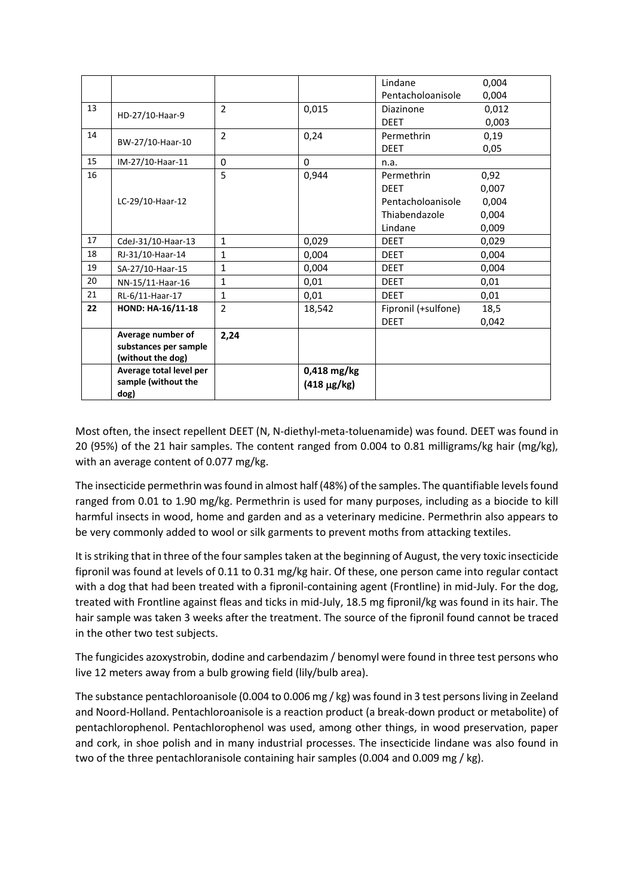|    |                                            |                |                    | Lindane             | 0,004 |
|----|--------------------------------------------|----------------|--------------------|---------------------|-------|
|    |                                            |                |                    | Pentacholoanisole   | 0,004 |
| 13 | HD-27/10-Haar-9                            | $\overline{2}$ | 0,015              | Diazinone           | 0,012 |
|    |                                            |                |                    | <b>DEET</b>         | 0,003 |
| 14 | BW-27/10-Haar-10                           | $\overline{2}$ | 0,24               | Permethrin          | 0,19  |
|    |                                            |                |                    | <b>DEET</b>         | 0,05  |
| 15 | IM-27/10-Haar-11                           | $\mathbf{0}$   | $\Omega$           | n.a.                |       |
| 16 |                                            | 5              | 0,944              | Permethrin          | 0,92  |
|    |                                            |                |                    | <b>DEET</b>         | 0,007 |
|    | LC-29/10-Haar-12                           |                |                    | Pentacholoanisole   | 0,004 |
|    |                                            |                |                    | Thiabendazole       | 0,004 |
|    |                                            |                |                    | Lindane             | 0,009 |
| 17 | CdeJ-31/10-Haar-13                         | $\mathbf{1}$   | 0,029              | <b>DEET</b>         | 0,029 |
| 18 | RJ-31/10-Haar-14                           | $\mathbf{1}$   | 0,004              | <b>DEET</b>         | 0,004 |
| 19 | SA-27/10-Haar-15                           | $\mathbf{1}$   | 0,004              | <b>DEET</b>         | 0,004 |
| 20 | NN-15/11-Haar-16                           | $\mathbf{1}$   | 0,01               | <b>DEET</b>         | 0,01  |
| 21 | RL-6/11-Haar-17                            | $\mathbf{1}$   | 0,01               | <b>DEET</b>         | 0,01  |
| 22 | HOND: HA-16/11-18                          | $\overline{2}$ | 18,542             | Fipronil (+sulfone) | 18,5  |
|    |                                            |                |                    | <b>DEET</b>         | 0,042 |
|    | Average number of<br>substances per sample | 2,24           |                    |                     |       |
|    | (without the dog)                          |                |                    |                     |       |
|    | Average total level per                    |                | $0,418$ mg/kg      |                     |       |
|    | sample (without the<br>dog)                |                | $(418 \,\mu g/kg)$ |                     |       |

Most often, the insect repellent DEET (N, N-diethyl-meta-toluenamide) was found. DEET was found in 20 (95%) of the 21 hair samples. The content ranged from 0.004 to 0.81 milligrams/kg hair (mg/kg), with an average content of 0.077 mg/kg.

The insecticide permethrin was found in almost half (48%) of the samples. The quantifiable levels found ranged from 0.01 to 1.90 mg/kg. Permethrin is used for many purposes, including as a biocide to kill harmful insects in wood, home and garden and as a veterinary medicine. Permethrin also appears to be very commonly added to wool or silk garments to prevent moths from attacking textiles.

It is striking that in three of the four samples taken at the beginning of August, the very toxic insecticide fipronil was found at levels of 0.11 to 0.31 mg/kg hair. Of these, one person came into regular contact with a dog that had been treated with a fipronil-containing agent (Frontline) in mid-July. For the dog, treated with Frontline against fleas and ticks in mid-July, 18.5 mg fipronil/kg was found in its hair. The hair sample was taken 3 weeks after the treatment. The source of the fipronil found cannot be traced in the other two test subjects.

The fungicides azoxystrobin, dodine and carbendazim / benomyl were found in three test persons who live 12 meters away from a bulb growing field (lily/bulb area).

The substance pentachloroanisole (0.004 to 0.006 mg / kg) was found in 3 test persons living in Zeeland and Noord-Holland. Pentachloroanisole is a reaction product (a break-down product or metabolite) of pentachlorophenol. Pentachlorophenol was used, among other things, in wood preservation, paper and cork, in shoe polish and in many industrial processes. The insecticide lindane was also found in two of the three pentachloranisole containing hair samples (0.004 and 0.009 mg / kg).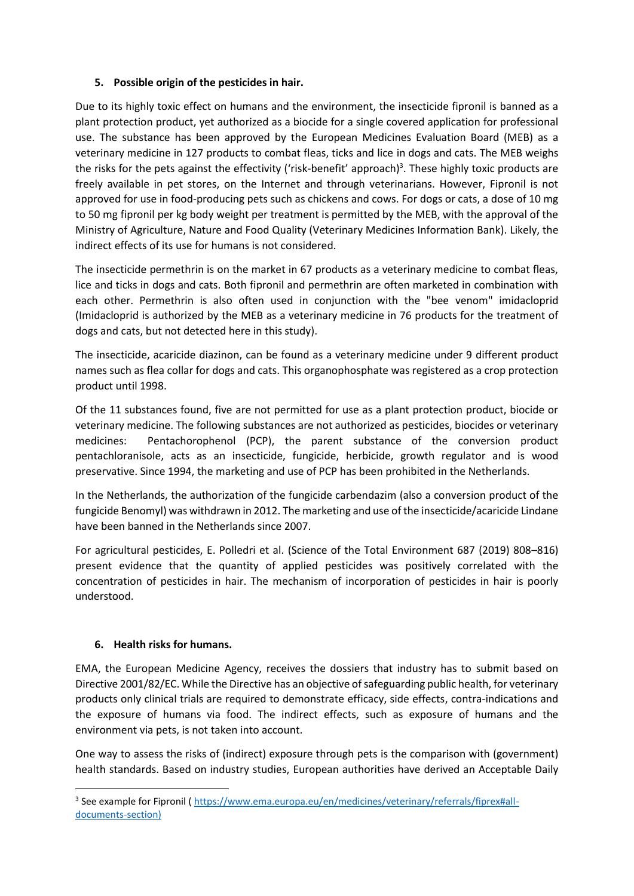## **5. Possible origin of the pesticides in hair.**

Due to its highly toxic effect on humans and the environment, the insecticide fipronil is banned as a plant protection product, yet authorized as a biocide for a single covered application for professional use. The substance has been approved by the European Medicines Evaluation Board (MEB) as a veterinary medicine in 127 products to combat fleas, ticks and lice in dogs and cats. The MEB weighs the risks for the pets against the effectivity ('risk-benefit' approach)<sup>3</sup>. These highly toxic products are freely available in pet stores, on the Internet and through veterinarians. However, Fipronil is not approved for use in food-producing pets such as chickens and cows. For dogs or cats, a dose of 10 mg to 50 mg fipronil per kg body weight per treatment is permitted by the MEB, with the approval of the Ministry of Agriculture, Nature and Food Quality (Veterinary Medicines Information Bank). Likely, the indirect effects of its use for humans is not considered.

The insecticide permethrin is on the market in 67 products as a veterinary medicine to combat fleas, lice and ticks in dogs and cats. Both fipronil and permethrin are often marketed in combination with each other. Permethrin is also often used in conjunction with the "bee venom" imidacloprid (Imidacloprid is authorized by the MEB as a veterinary medicine in 76 products for the treatment of dogs and cats, but not detected here in this study).

The insecticide, acaricide diazinon, can be found as a veterinary medicine under 9 different product names such as flea collar for dogs and cats. This organophosphate was registered as a crop protection product until 1998.

Of the 11 substances found, five are not permitted for use as a plant protection product, biocide or veterinary medicine. The following substances are not authorized as pesticides, biocides or veterinary medicines: Pentachorophenol (PCP), the parent substance of the conversion product pentachloranisole, acts as an insecticide, fungicide, herbicide, growth regulator and is wood preservative. Since 1994, the marketing and use of PCP has been prohibited in the Netherlands.

In the Netherlands, the authorization of the fungicide carbendazim (also a conversion product of the fungicide Benomyl) was withdrawn in 2012. The marketing and use of the insecticide/acaricide Lindane have been banned in the Netherlands since 2007.

For agricultural pesticides, E. Polledri et al. (Science of the Total Environment 687 (2019) 808–816) present evidence that the quantity of applied pesticides was positively correlated with the concentration of pesticides in hair. The mechanism of incorporation of pesticides in hair is poorly understood.

## **6. Health risks for humans.**

EMA, the European Medicine Agency, receives the dossiers that industry has to submit based on Directive 2001/82/EC. While the Directive has an objective of safeguarding public health, for veterinary products only clinical trials are required to demonstrate efficacy, side effects, contra-indications and the exposure of humans via food. The indirect effects, such as exposure of humans and the environment via pets, is not taken into account.

One way to assess the risks of (indirect) exposure through pets is the comparison with (government) health standards. Based on industry studies, European authorities have derived an Acceptable Daily

<sup>&</sup>lt;sup>3</sup> See example for Fipronil [\( https://www.ema.europa.eu/en/medicines/veterinary/referrals/fiprex#all](https://www.ema.europa.eu/en/medicines/veterinary/referrals/fiprex%23all-documents-section)[documents-section\)](https://www.ema.europa.eu/en/medicines/veterinary/referrals/fiprex%23all-documents-section)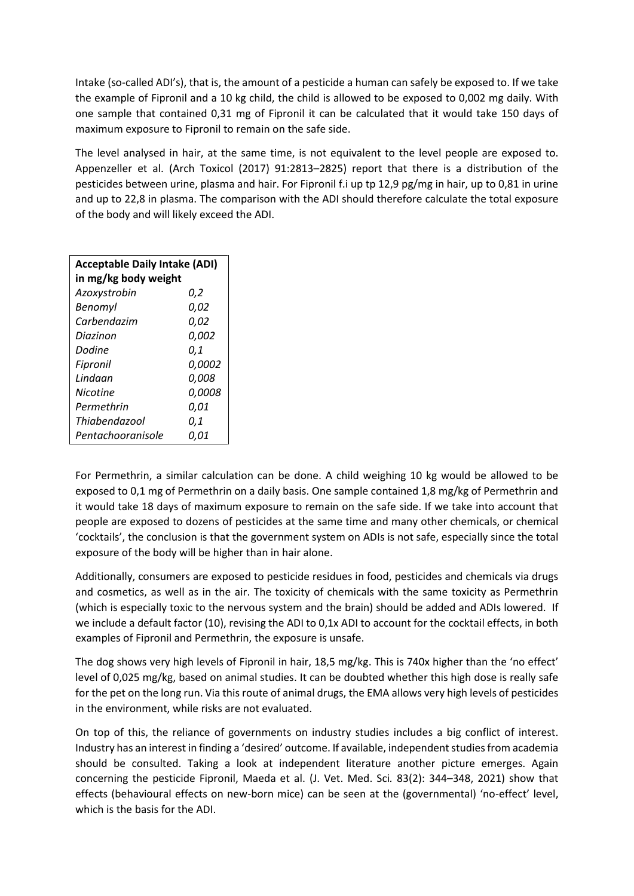Intake (so-called ADI's), that is, the amount of a pesticide a human can safely be exposed to. If we take the example of Fipronil and a 10 kg child, the child is allowed to be exposed to 0,002 mg daily. With one sample that contained 0,31 mg of Fipronil it can be calculated that it would take 150 days of maximum exposure to Fipronil to remain on the safe side.

The level analysed in hair, at the same time, is not equivalent to the level people are exposed to. Appenzeller et al. (Arch Toxicol (2017) 91:2813–2825) report that there is a distribution of the pesticides between urine, plasma and hair. For Fipronil f.i up tp 12,9 pg/mg in hair, up to 0,81 in urine and up to 22,8 in plasma. The comparison with the ADI should therefore calculate the total exposure of the body and will likely exceed the ADI.

| <b>Acceptable Daily Intake (ADI)</b> |               |  |  |  |
|--------------------------------------|---------------|--|--|--|
| in mg/kg body weight                 |               |  |  |  |
| Azoxystrobin                         | 0,2           |  |  |  |
| Benomyl                              | 0,02          |  |  |  |
| Carbendazim                          | 0,02          |  |  |  |
| Diazinon                             | 0,002         |  |  |  |
| Dodine                               | 0,1           |  |  |  |
| Fipronil                             | <i>0.0002</i> |  |  |  |
| Lindaan                              | 0,008         |  |  |  |
| Nicotine                             | 0.0008        |  |  |  |
| Permethrin                           | 0,01          |  |  |  |
| Thiabendazool                        | 0,1           |  |  |  |
| Pentachooranisole                    | 0,01          |  |  |  |

For Permethrin, a similar calculation can be done. A child weighing 10 kg would be allowed to be exposed to 0,1 mg of Permethrin on a daily basis. One sample contained 1,8 mg/kg of Permethrin and it would take 18 days of maximum exposure to remain on the safe side. If we take into account that people are exposed to dozens of pesticides at the same time and many other chemicals, or chemical 'cocktails', the conclusion is that the government system on ADIs is not safe, especially since the total exposure of the body will be higher than in hair alone.

Additionally, consumers are exposed to pesticide residues in food, pesticides and chemicals via drugs and cosmetics, as well as in the air. The toxicity of chemicals with the same toxicity as Permethrin (which is especially toxic to the nervous system and the brain) should be added and ADIs lowered. If we include a default factor (10), revising the ADI to 0,1x ADI to account for the cocktail effects, in both examples of Fipronil and Permethrin, the exposure is unsafe.

The dog shows very high levels of Fipronil in hair, 18,5 mg/kg. This is 740x higher than the 'no effect' level of 0,025 mg/kg, based on animal studies. It can be doubted whether this high dose is really safe for the pet on the long run. Via this route of animal drugs, the EMA allows very high levels of pesticides in the environment, while risks are not evaluated.

On top of this, the reliance of governments on industry studies includes a big conflict of interest. Industry has an interest in finding a 'desired' outcome. If available, independent studies from academia should be consulted. Taking a look at independent literature another picture emerges. Again concerning the pesticide Fipronil, Maeda et al. (J. Vet. Med. Sci*.* 83(2): 344–348, 2021) show that effects (behavioural effects on new-born mice) can be seen at the (governmental) 'no-effect' level, which is the basis for the ADI.